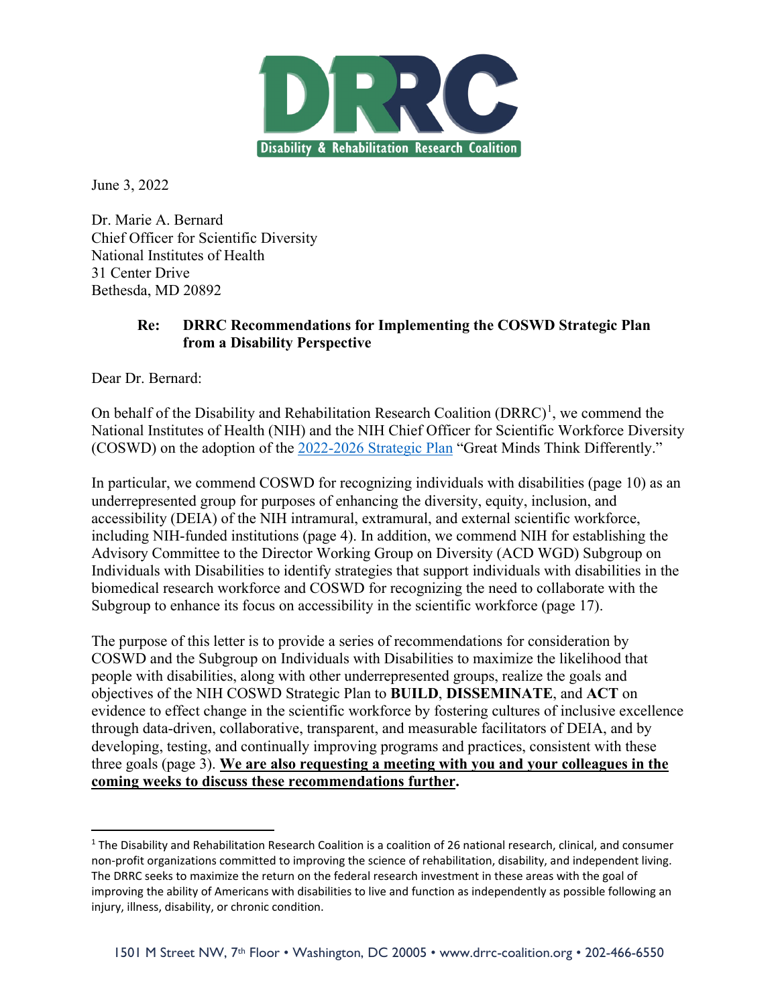

June 3, 2022

Dr. Marie A. Bernard Chief Officer for Scientific Diversity National Institutes of Health 31 Center Drive Bethesda, MD 20892

#### **Re: DRRC Recommendations for Implementing the COSWD Strategic Plan from a Disability Perspective**

Dear Dr. Bernard:

On behalf of the Disability and Rehabilitation Research Coalition  $(DRRC)^1$  $(DRRC)^1$ , we commend the National Institutes of Health (NIH) and the NIH Chief Officer for Scientific Workforce Diversity (COSWD) on the adoption of the [2022-2026 Strategic Plan](https://diversity.nih.gov/sites/coswd/files/images/NIH_COSWD_Strategic_Plan_for_Fiscal_Years_2022-2026_508c.pdf) "Great Minds Think Differently."

In particular, we commend COSWD for recognizing individuals with disabilities (page 10) as an underrepresented group for purposes of enhancing the diversity, equity, inclusion, and accessibility (DEIA) of the NIH intramural, extramural, and external scientific workforce, including NIH-funded institutions (page 4). In addition, we commend NIH for establishing the Advisory Committee to the Director Working Group on Diversity (ACD WGD) Subgroup on Individuals with Disabilities to identify strategies that support individuals with disabilities in the biomedical research workforce and COSWD for recognizing the need to collaborate with the Subgroup to enhance its focus on accessibility in the scientific workforce (page 17).

The purpose of this letter is to provide a series of recommendations for consideration by COSWD and the Subgroup on Individuals with Disabilities to maximize the likelihood that people with disabilities, along with other underrepresented groups, realize the goals and objectives of the NIH COSWD Strategic Plan to **BUILD**, **DISSEMINATE**, and **ACT** on evidence to effect change in the scientific workforce by fostering cultures of inclusive excellence through data-driven, collaborative, transparent, and measurable facilitators of DEIA, and by developing, testing, and continually improving programs and practices, consistent with these three goals (page 3). **We are also requesting a meeting with you and your colleagues in the coming weeks to discuss these recommendations further.** 

<span id="page-0-0"></span> $1$  The Disability and Rehabilitation Research Coalition is a coalition of 26 national research, clinical, and consumer non-profit organizations committed to improving the science of rehabilitation, disability, and independent living. The DRRC seeks to maximize the return on the federal research investment in these areas with the goal of improving the ability of Americans with disabilities to live and function as independently as possible following an injury, illness, disability, or chronic condition.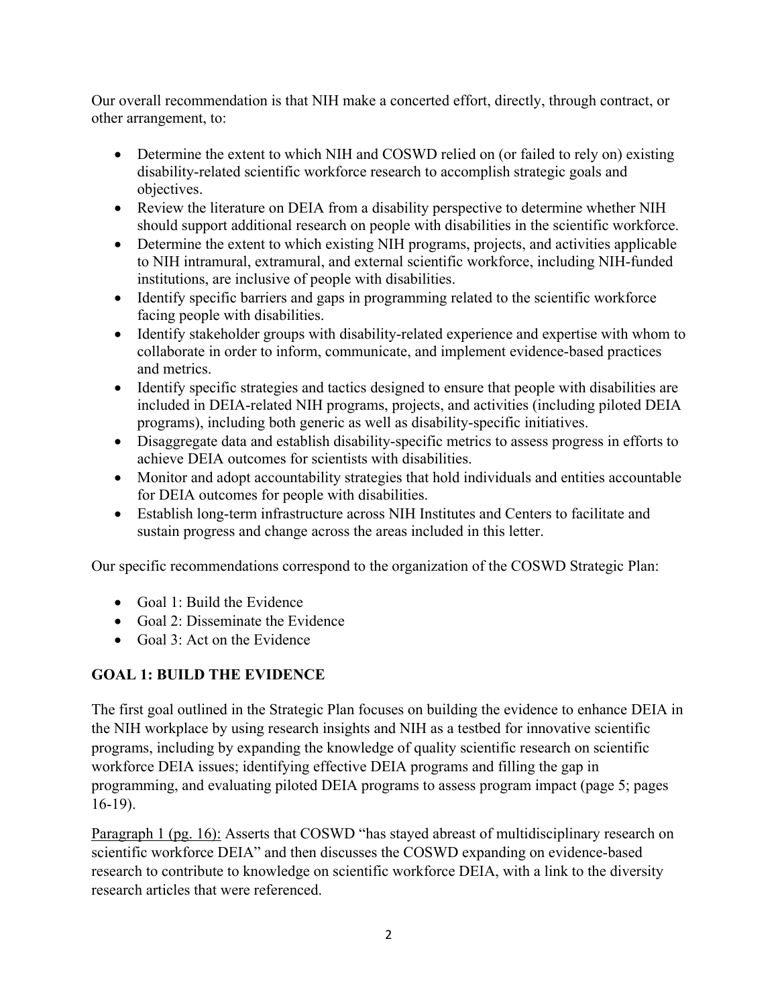Our overall recommendation is that NIH make a concerted effort, directly, through contract, or other arrangement, to:

- Determine the extent to which NIH and COSWD relied on (or failed to rely on) existing disability-related scientific workforce research to accomplish strategic goals and objectives.
- Review the literature on DEIA from a disability perspective to determine whether NIH should support additional research on people with disabilities in the scientific workforce.
- Determine the extent to which existing NIH programs, projects, and activities applicable to NIH intramural, extramural, and external scientific workforce, including NIH-funded institutions, are inclusive of people with disabilities.
- Identify specific barriers and gaps in programming related to the scientific workforce facing people with disabilities.
- Identify stakeholder groups with disability-related experience and expertise with whom to collaborate in order to inform, communicate, and implement evidence-based practices and metrics.
- Identify specific strategies and tactics designed to ensure that people with disabilities are included in DEIA-related NIH programs, projects, and activities (including piloted DEIA programs), including both generic as well as disability-specific initiatives.
- Disaggregate data and establish disability-specific metrics to assess progress in efforts to achieve DEIA outcomes for scientists with disabilities.
- Monitor and adopt accountability strategies that hold individuals and entities accountable for DEIA outcomes for people with disabilities.
- Establish long-term infrastructure across NIH Institutes and Centers to facilitate and sustain progress and change across the areas included in this letter.

Our specific recommendations correspond to the organization of the COSWD Strategic Plan:

- Goal 1: Build the Evidence
- Goal 2: Disseminate the Evidence
- Goal 3: Act on the Evidence

### **GOAL 1: BUILD THE EVIDENCE**

The first goal outlined in the Strategic Plan focuses on building the evidence to enhance DEIA in the NIH workplace by using research insights and NIH as a testbed for innovative scientific programs, including by expanding the knowledge of quality scientific research on scientific workforce DEIA issues; identifying effective DEIA programs and filling the gap in programming, and evaluating piloted DEIA programs to assess program impact (page 5; pages 16-19).

Paragraph 1 (pg. 16): Asserts that COSWD "has stayed abreast of multidisciplinary research on scientific workforce DEIA" and then discusses the COSWD expanding on evidence-based research to contribute to knowledge on scientific workforce DEIA, with a link to the diversity research articles that were referenced.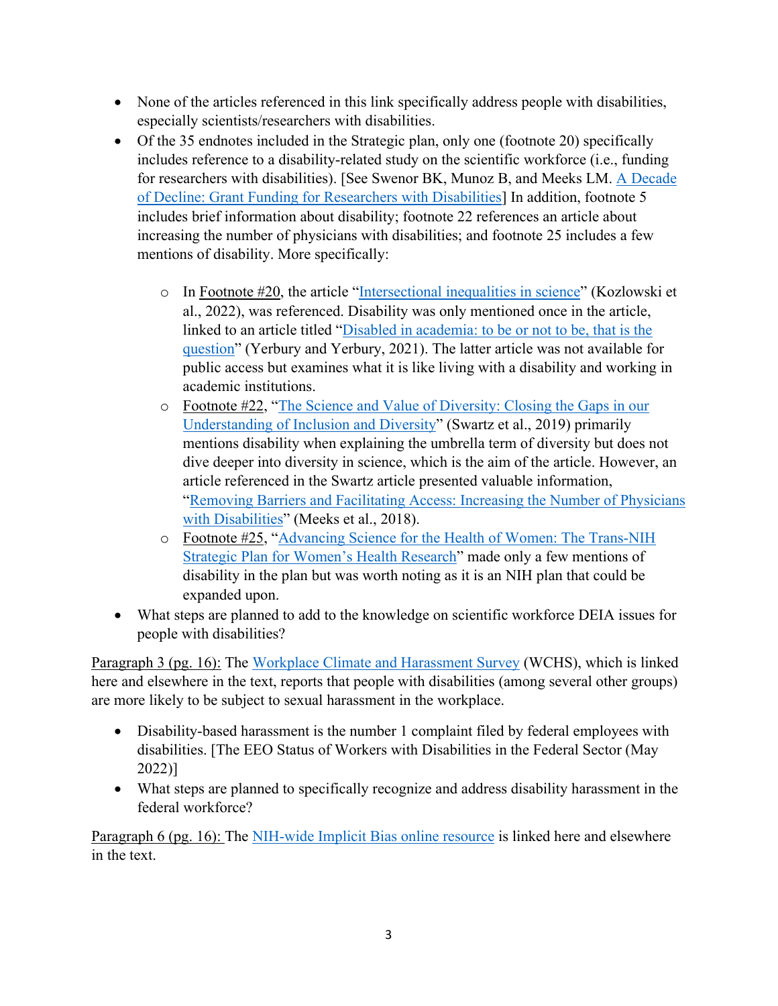- None of the articles referenced in this link specifically address people with disabilities, especially scientists/researchers with disabilities.
- Of the 35 endnotes included in the Strategic plan, only one (footnote 20) specifically includes reference to a disability-related study on the scientific workforce (i.e., funding for researchers with disabilities). [See Swenor BK, Munoz B, and Meeks LM. [A Decade](https://journals.plos.org/plosone/article?id=10.1371/journal.pone.0228686)  [of Decline: Grant Funding for Researchers with Disabilities\]](https://journals.plos.org/plosone/article?id=10.1371/journal.pone.0228686) In addition, footnote 5 includes brief information about disability; footnote 22 references an article about increasing the number of physicians with disabilities; and footnote 25 includes a few mentions of disability. More specifically:
	- $\circ$  In Footnote #20, the article ["Intersectional inequalities in science"](https://www.pnas.org/doi/10.1073/pnas.2113067119) (Kozlowski et al., 2022), was referenced. Disability was only mentioned once in the article, linked to an article titled ["Disabled in academia: to be or not to be, that is the](https://www.cell.com/trends/neurosciences/fulltext/S0166-2236(21)00076-X)  [question"](https://www.cell.com/trends/neurosciences/fulltext/S0166-2236(21)00076-X) (Yerbury and Yerbury, 2021). The latter article was not available for public access but examines what it is like living with a disability and working in academic institutions.
	- o Footnote #22, ["The Science and Value of Diversity: Closing the Gaps in our](https://pubmed.ncbi.nlm.nih.gov/31430380/)  [Understanding of Inclusion and Diversity"](https://pubmed.ncbi.nlm.nih.gov/31430380/) (Swartz et al., 2019) primarily mentions disability when explaining the umbrella term of diversity but does not dive deeper into diversity in science, which is the aim of the article. However, an article referenced in the Swartz article presented valuable information, ["Removing Barriers and Facilitating Access: Increasing the Number of Physicians](https://pubmed.ncbi.nlm.nih.gov/30248081/)  [with Disabilities"](https://pubmed.ncbi.nlm.nih.gov/30248081/) (Meeks et al., 2018).
	- o Footnote #25, ["Advancing Science for the Health of Women: The Trans-NIH](https://orwh.od.nih.gov/sites/orwh/files/docs/ORWH_Strategic_Plan_2019_508C_0.pdf)  [Strategic Plan for Women's Health Research"](https://orwh.od.nih.gov/sites/orwh/files/docs/ORWH_Strategic_Plan_2019_508C_0.pdf) made only a few mentions of disability in the plan but was worth noting as it is an NIH plan that could be expanded upon.
- What steps are planned to add to the knowledge on scientific workforce DEIA issues for people with disabilities?

Paragraph 3 (pg. 16): The [Workplace Climate and Harassment Survey](https://diversity.nih.gov/building-evidence/harassment-survey) (WCHS), which is linked here and elsewhere in the text, reports that people with disabilities (among several other groups) are more likely to be subject to sexual harassment in the workplace.

- Disability-based harassment is the number 1 complaint filed by federal employees with disabilities. [The EEO Status of Workers with Disabilities in the Federal Sector (May 2022)]
- What steps are planned to specifically recognize and address disability harassment in the federal workforce?

Paragraph 6 (pg. 16): The [NIH-wide Implicit Bias online resource](https://diversity.nih.gov/sociocultural-factors/implicit-bias) is linked here and elsewhere in the text.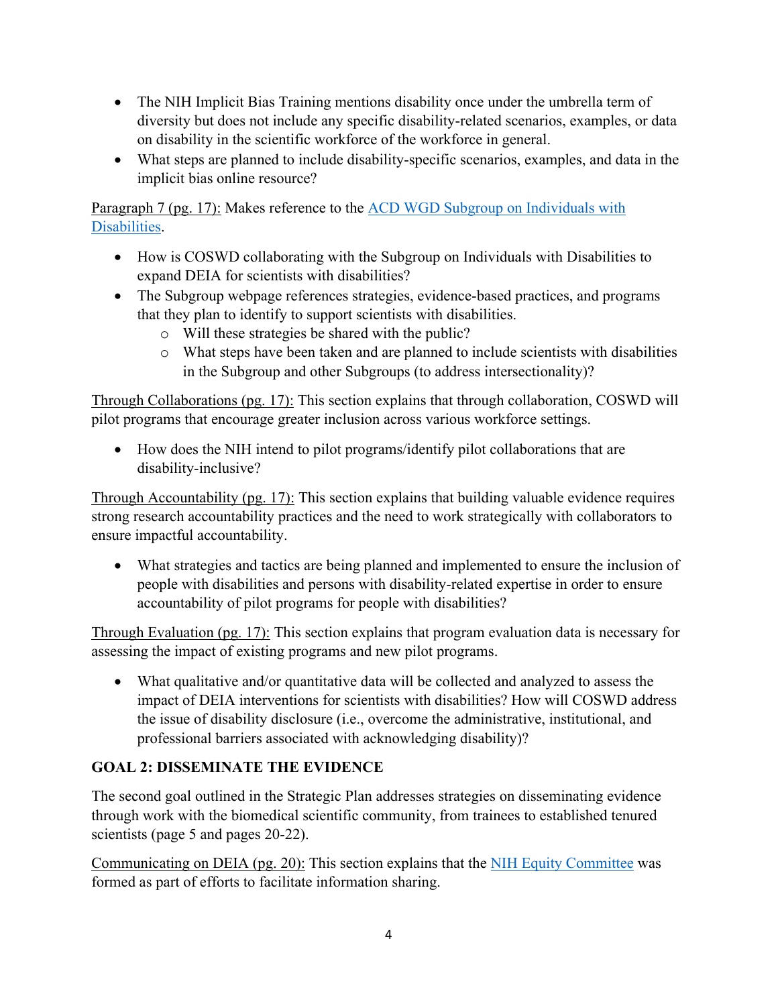- The NIH Implicit Bias Training mentions disability once under the umbrella term of diversity but does not include any specific disability-related scenarios, examples, or data on disability in the scientific workforce of the workforce in general.
- What steps are planned to include disability-specific scenarios, examples, and data in the implicit bias online resource?

Paragraph 7 (pg. 17): Makes reference to the [ACD WGD Subgroup on Individuals with](https://acd.od.nih.gov/working-groups/disabilitiessubgroup.html)  [Disabilities.](https://acd.od.nih.gov/working-groups/disabilitiessubgroup.html)

- How is COSWD collaborating with the Subgroup on Individuals with Disabilities to expand DEIA for scientists with disabilities?
- The Subgroup webpage references strategies, evidence-based practices, and programs that they plan to identify to support scientists with disabilities.
	- o Will these strategies be shared with the public?
	- o What steps have been taken and are planned to include scientists with disabilities in the Subgroup and other Subgroups (to address intersectionality)?

Through Collaborations (pg. 17): This section explains that through collaboration, COSWD will pilot programs that encourage greater inclusion across various workforce settings.

• How does the NIH intend to pilot programs/identify pilot collaborations that are disability-inclusive?

Through Accountability (pg. 17): This section explains that building valuable evidence requires strong research accountability practices and the need to work strategically with collaborators to ensure impactful accountability.

• What strategies and tactics are being planned and implemented to ensure the inclusion of people with disabilities and persons with disability-related expertise in order to ensure accountability of pilot programs for people with disabilities?

Through Evaluation (pg. 17): This section explains that program evaluation data is necessary for assessing the impact of existing programs and new pilot programs.

• What qualitative and/or quantitative data will be collected and analyzed to assess the impact of DEIA interventions for scientists with disabilities? How will COSWD address the issue of disability disclosure (i.e., overcome the administrative, institutional, and professional barriers associated with acknowledging disability)?

### **GOAL 2: DISSEMINATE THE EVIDENCE**

The second goal outlined in the Strategic Plan addresses strategies on disseminating evidence through work with the biomedical scientific community, from trainees to established tenured scientists (page 5 and pages 20-22).

Communicating on DEIA (pg. 20): This section explains that the [NIH Equity Committee](https://diversity.nih.gov/programs-partnerships/nih-equity-committee) was formed as part of efforts to facilitate information sharing.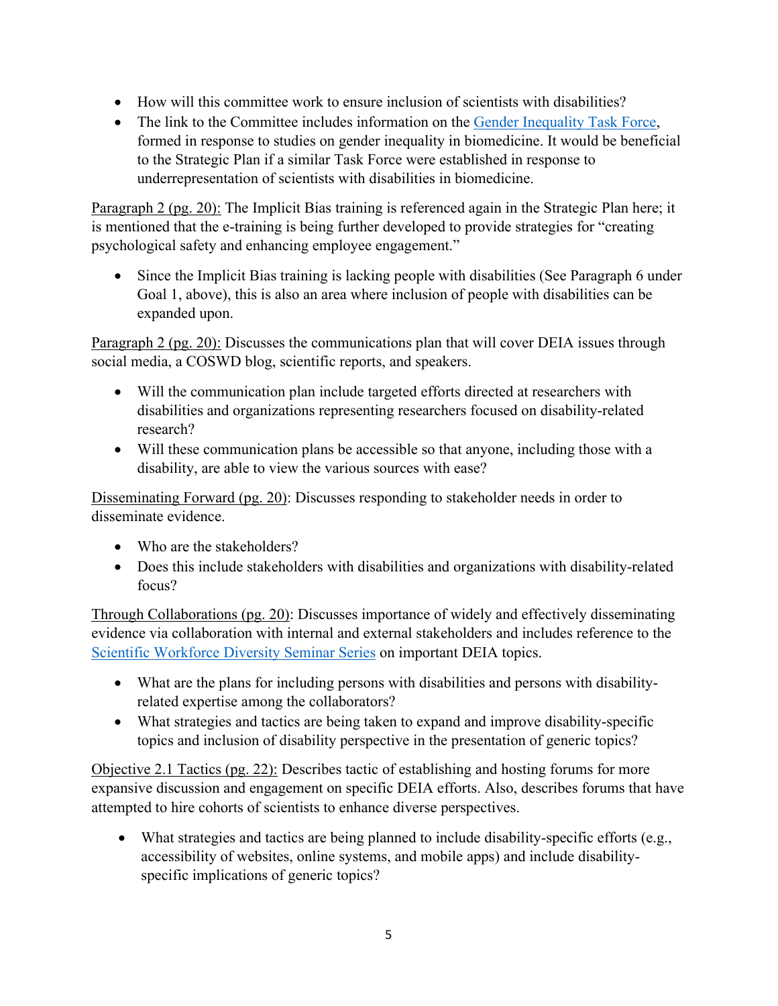- How will this committee work to ensure inclusion of scientists with disabilities?
- The link to the Committee includes information on the [Gender Inequality Task Force,](https://diversity.nih.gov/programs-partnerships/gender-inequality-task-force-report) formed in response to studies on gender inequality in biomedicine. It would be beneficial to the Strategic Plan if a similar Task Force were established in response to underrepresentation of scientists with disabilities in biomedicine.

Paragraph 2 (pg. 20): The Implicit Bias training is referenced again in the Strategic Plan here; it is mentioned that the e-training is being further developed to provide strategies for "creating psychological safety and enhancing employee engagement."

• Since the Implicit Bias training is lacking people with disabilities (See Paragraph 6 under Goal 1, above), this is also an area where inclusion of people with disabilities can be expanded upon.

Paragraph 2 (pg. 20): Discusses the communications plan that will cover DEIA issues through social media, a COSWD blog, scientific reports, and speakers.

- Will the communication plan include targeted efforts directed at researchers with disabilities and organizations representing researchers focused on disability-related research?
- Will these communication plans be accessible so that anyone, including those with a disability, are able to view the various sources with ease?

Disseminating Forward (pg. 20): Discusses responding to stakeholder needs in order to disseminate evidence.

- Who are the stakeholders?
- Does this include stakeholders with disabilities and organizations with disability-related focus?

Through Collaborations (pg. 20): Discusses importance of widely and effectively disseminating evidence via collaboration with internal and external stakeholders and includes reference to the [Scientific Workforce Diversity Seminar Series](https://diversity.nih.gov/science-diversity/swd-seminar-series) on important DEIA topics.

- What are the plans for including persons with disabilities and persons with disabilityrelated expertise among the collaborators?
- What strategies and tactics are being taken to expand and improve disability-specific topics and inclusion of disability perspective in the presentation of generic topics?

Objective 2.1 Tactics (pg. 22): Describes tactic of establishing and hosting forums for more expansive discussion and engagement on specific DEIA efforts. Also, describes forums that have attempted to hire cohorts of scientists to enhance diverse perspectives.

• What strategies and tactics are being planned to include disability-specific efforts (e.g., accessibility of websites, online systems, and mobile apps) and include disabilityspecific implications of generic topics?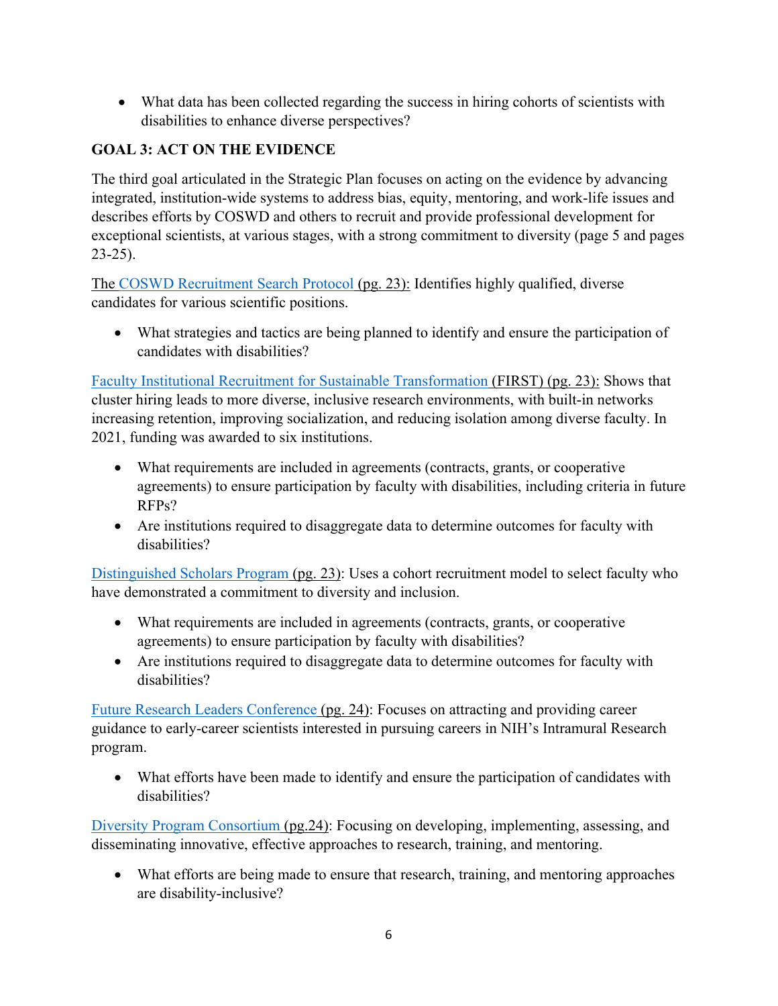• What data has been collected regarding the success in hiring cohorts of scientists with disabilities to enhance diverse perspectives?

# **GOAL 3: ACT ON THE EVIDENCE**

The third goal articulated in the Strategic Plan focuses on acting on the evidence by advancing integrated, institution-wide systems to address bias, equity, mentoring, and work-life issues and describes efforts by COSWD and others to recruit and provide professional development for exceptional scientists, at various stages, with a strong commitment to diversity (page 5 and pages 23-25).

The [COSWD Recruitment Search Protocol](https://diversity.nih.gov/programs-partnerships/recruitment-search-protocol) (pg. 23): Identifies highly qualified, diverse candidates for various scientific positions.

• What strategies and tactics are being planned to identify and ensure the participation of candidates with disabilities?

[Faculty Institutional Recruitment for Sustainable Transformation](https://commonfund.nih.gov/first) (FIRST) (pg. 23): Shows that cluster hiring leads to more diverse, inclusive research environments, with built-in networks increasing retention, improving socialization, and reducing isolation among diverse faculty. In 2021, funding was awarded to six institutions.

- What requirements are included in agreements (contracts, grants, or cooperative agreements) to ensure participation by faculty with disabilities, including criteria in future RFPs?
- Are institutions required to disaggregate data to determine outcomes for faculty with disabilities?

[Distinguished Scholars Program](https://diversity.nih.gov/programs-partnerships/dsp) (pg. 23): Uses a cohort recruitment model to select faculty who have demonstrated a commitment to diversity and inclusion.

- What requirements are included in agreements (contracts, grants, or cooperative agreements) to ensure participation by faculty with disabilities?
- Are institutions required to disaggregate data to determine outcomes for faculty with disabilities?

[Future Research Leaders Conference](https://diversity.nih.gov/programs-partnerships/frlc) (pg. 24): Focuses on attracting and providing career guidance to early-career scientists interested in pursuing careers in NIH's Intramural Research program.

• What efforts have been made to identify and ensure the participation of candidates with disabilities?

[Diversity Program Consortium](https://www.diversityprogramconsortium.org/) (pg.24): Focusing on developing, implementing, assessing, and disseminating innovative, effective approaches to research, training, and mentoring.

• What efforts are being made to ensure that research, training, and mentoring approaches are disability-inclusive?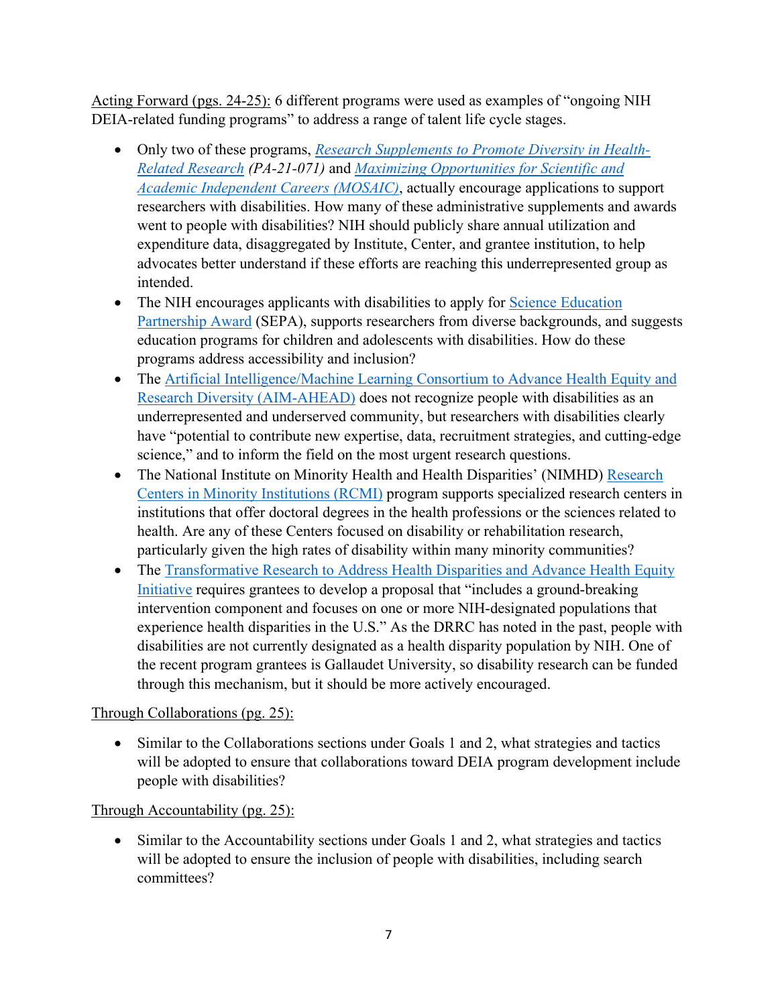Acting Forward (pgs. 24-25): 6 different programs were used as examples of "ongoing NIH DEIA-related funding programs" to address a range of talent life cycle stages.

- Only two of these programs, *[Research Supplements to Promote Diversity in Health-](https://grants.nih.gov/grants/guide/pa-files/PA-21-071.html)[Related Research](https://grants.nih.gov/grants/guide/pa-files/PA-21-071.html) (PA-21-071)* and *[Maximizing Opportunities for Scientific and](https://www.nigms.nih.gov/training/careerdev/Pages/MOSAIC.aspx)  [Academic Independent Careers \(MOSAIC\)](https://www.nigms.nih.gov/training/careerdev/Pages/MOSAIC.aspx)*, actually encourage applications to support researchers with disabilities. How many of these administrative supplements and awards went to people with disabilities? NIH should publicly share annual utilization and expenditure data, disaggregated by Institute, Center, and grantee institution, to help advocates better understand if these efforts are reaching this underrepresented group as intended.
- The NIH encourages applicants with disabilities to apply for Science Education [Partnership Award](https://nihsepa.org/) (SEPA), supports researchers from diverse backgrounds, and suggests education programs for children and adolescents with disabilities. How do these programs address accessibility and inclusion?
- The Artificial Intelligence/Machine Learning Consortium to Advance Health Equity and [Research Diversity \(AIM-AHEAD\)](https://datascience.nih.gov/artificial-intelligence/aim-ahead) does not recognize people with disabilities as an underrepresented and underserved community, but researchers with disabilities clearly have "potential to contribute new expertise, data, recruitment strategies, and cutting-edge science," and to inform the field on the most urgent research questions.
- The National Institute on Minority Health and Health Disparities' (NIMHD) Research [Centers in Minority Institutions \(RCMI\)](https://www.nimhd.nih.gov/programs/extramural/research-centers/rcmi/) program supports specialized research centers in institutions that offer doctoral degrees in the health professions or the sciences related to health. Are any of these Centers focused on disability or rehabilitation research, particularly given the high rates of disability within many minority communities?
- The Transformative Research to Address Health Disparities and Advance Health Equity [Initiative](https://commonfund.nih.gov/healthdisparitiestransformation) requires grantees to develop a proposal that "includes a ground-breaking intervention component and focuses on one or more NIH-designated populations that experience health disparities in the U.S." As the DRRC has noted in the past, people with disabilities are not currently designated as a health disparity population by NIH. One of the recent program grantees is Gallaudet University, so disability research can be funded through this mechanism, but it should be more actively encouraged.

### Through Collaborations (pg. 25):

• Similar to the Collaborations sections under Goals 1 and 2, what strategies and tactics will be adopted to ensure that collaborations toward DEIA program development include people with disabilities?

### Through Accountability (pg. 25):

• Similar to the Accountability sections under Goals 1 and 2, what strategies and tactics will be adopted to ensure the inclusion of people with disabilities, including search committees?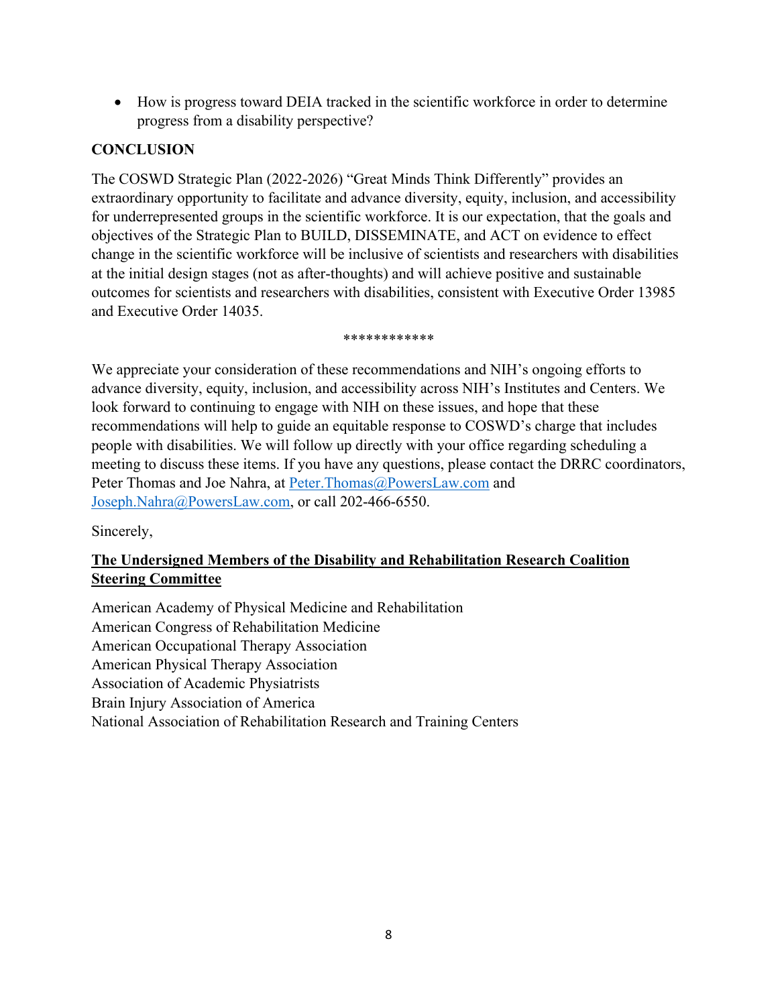• How is progress toward DEIA tracked in the scientific workforce in order to determine progress from a disability perspective?

## **CONCLUSION**

The COSWD Strategic Plan (2022-2026) "Great Minds Think Differently" provides an extraordinary opportunity to facilitate and advance diversity, equity, inclusion, and accessibility for underrepresented groups in the scientific workforce. It is our expectation, that the goals and objectives of the Strategic Plan to BUILD, DISSEMINATE, and ACT on evidence to effect change in the scientific workforce will be inclusive of scientists and researchers with disabilities at the initial design stages (not as after-thoughts) and will achieve positive and sustainable outcomes for scientists and researchers with disabilities, consistent with Executive Order 13985 and Executive Order 14035.

\*\*\*\*\*\*\*\*\*\*\*\*

We appreciate your consideration of these recommendations and NIH's ongoing efforts to advance diversity, equity, inclusion, and accessibility across NIH's Institutes and Centers. We look forward to continuing to engage with NIH on these issues, and hope that these recommendations will help to guide an equitable response to COSWD's charge that includes people with disabilities. We will follow up directly with your office regarding scheduling a meeting to discuss these items. If you have any questions, please contact the DRRC coordinators, Peter Thomas and Joe Nahra, at [Peter.Thomas@PowersLaw.com](mailto:Peter.Thomas@PowersLaw.com) and [Joseph.Nahra@PowersLaw.com,](mailto:Joseph.Nahra@PowersLaw.com) or call 202-466-6550.

Sincerely,

## **The Undersigned Members of the Disability and Rehabilitation Research Coalition Steering Committee**

American Academy of Physical Medicine and Rehabilitation American Congress of Rehabilitation Medicine American Occupational Therapy Association American Physical Therapy Association Association of Academic Physiatrists Brain Injury Association of America National Association of Rehabilitation Research and Training Centers